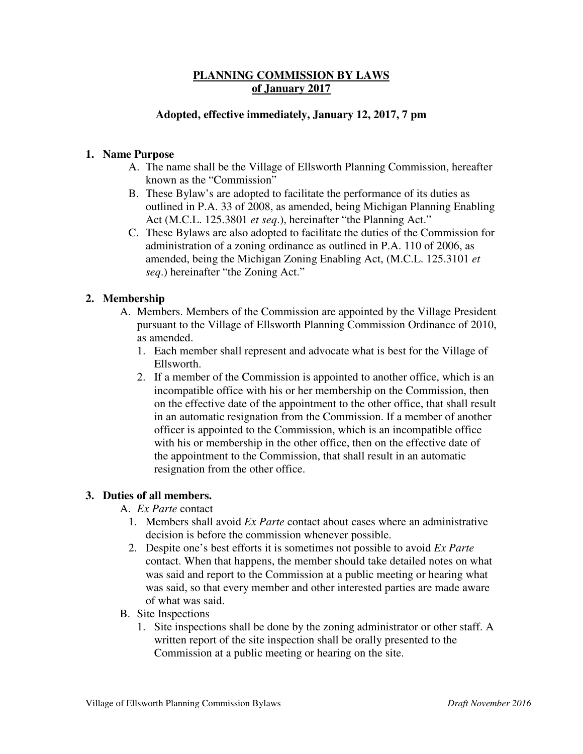## **PLANNING COMMISSION BY LAWS of January 2017**

## **Adopted, effective immediately, January 12, 2017, 7 pm**

## **1. Name Purpose**

- A. The name shall be the Village of Ellsworth Planning Commission, hereafter known as the "Commission"
- B. These Bylaw's are adopted to facilitate the performance of its duties as outlined in P.A. 33 of 2008, as amended, being Michigan Planning Enabling Act (M.C.L. 125.3801 *et seq*.), hereinafter "the Planning Act."
- C. These Bylaws are also adopted to facilitate the duties of the Commission for administration of a zoning ordinance as outlined in P.A. 110 of 2006, as amended, being the Michigan Zoning Enabling Act, (M.C.L. 125.3101 *et seq*.) hereinafter "the Zoning Act."

## **2. Membership**

- A. Members. Members of the Commission are appointed by the Village President pursuant to the Village of Ellsworth Planning Commission Ordinance of 2010, as amended.
	- 1. Each member shall represent and advocate what is best for the Village of Ellsworth.
	- 2. If a member of the Commission is appointed to another office, which is an incompatible office with his or her membership on the Commission, then on the effective date of the appointment to the other office, that shall result in an automatic resignation from the Commission. If a member of another officer is appointed to the Commission, which is an incompatible office with his or membership in the other office, then on the effective date of the appointment to the Commission, that shall result in an automatic resignation from the other office.

#### **3. Duties of all members.**

- A. *Ex Parte* contact
	- 1. Members shall avoid *Ex Parte* contact about cases where an administrative decision is before the commission whenever possible.
	- 2. Despite one's best efforts it is sometimes not possible to avoid *Ex Parte* contact. When that happens, the member should take detailed notes on what was said and report to the Commission at a public meeting or hearing what was said, so that every member and other interested parties are made aware of what was said.
- B. Site Inspections
	- 1. Site inspections shall be done by the zoning administrator or other staff. A written report of the site inspection shall be orally presented to the Commission at a public meeting or hearing on the site.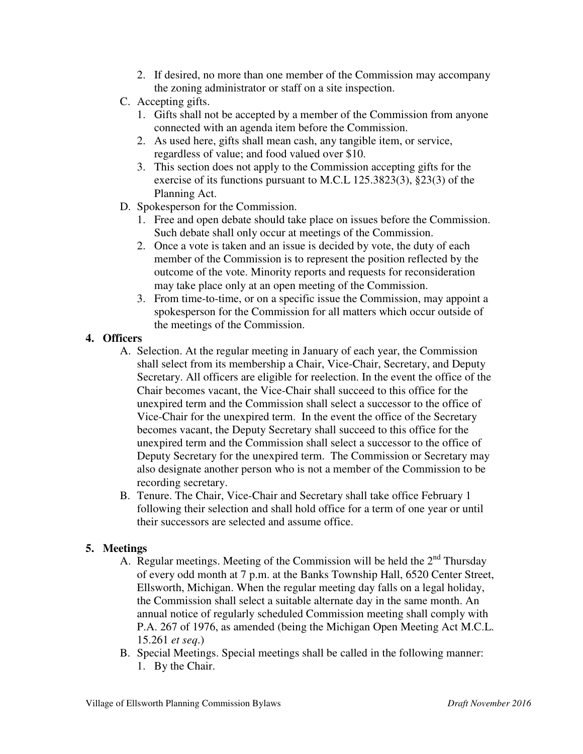- 2. If desired, no more than one member of the Commission may accompany the zoning administrator or staff on a site inspection.
- C. Accepting gifts.
	- 1. Gifts shall not be accepted by a member of the Commission from anyone connected with an agenda item before the Commission.
	- 2. As used here, gifts shall mean cash, any tangible item, or service, regardless of value; and food valued over \$10.
	- 3. This section does not apply to the Commission accepting gifts for the exercise of its functions pursuant to M.C.L 125.3823(3), §23(3) of the Planning Act.
- D. Spokesperson for the Commission.
	- 1. Free and open debate should take place on issues before the Commission. Such debate shall only occur at meetings of the Commission.
	- 2. Once a vote is taken and an issue is decided by vote, the duty of each member of the Commission is to represent the position reflected by the outcome of the vote. Minority reports and requests for reconsideration may take place only at an open meeting of the Commission.
	- 3. From time-to-time, or on a specific issue the Commission, may appoint a spokesperson for the Commission for all matters which occur outside of the meetings of the Commission.

## **4. Officers**

- A. Selection. At the regular meeting in January of each year, the Commission shall select from its membership a Chair, Vice-Chair, Secretary, and Deputy Secretary. All officers are eligible for reelection. In the event the office of the Chair becomes vacant, the Vice-Chair shall succeed to this office for the unexpired term and the Commission shall select a successor to the office of Vice-Chair for the unexpired term. In the event the office of the Secretary becomes vacant, the Deputy Secretary shall succeed to this office for the unexpired term and the Commission shall select a successor to the office of Deputy Secretary for the unexpired term. The Commission or Secretary may also designate another person who is not a member of the Commission to be recording secretary.
- B. Tenure. The Chair, Vice-Chair and Secretary shall take office February 1 following their selection and shall hold office for a term of one year or until their successors are selected and assume office.

## **5. Meetings**

- A. Regular meetings. Meeting of the Commission will be held the  $2<sup>nd</sup>$  Thursday of every odd month at 7 p.m. at the Banks Township Hall, 6520 Center Street, Ellsworth, Michigan. When the regular meeting day falls on a legal holiday, the Commission shall select a suitable alternate day in the same month. An annual notice of regularly scheduled Commission meeting shall comply with P.A. 267 of 1976, as amended (being the Michigan Open Meeting Act M.C.L. 15.261 *et seq*.)
- B. Special Meetings. Special meetings shall be called in the following manner: 1. By the Chair.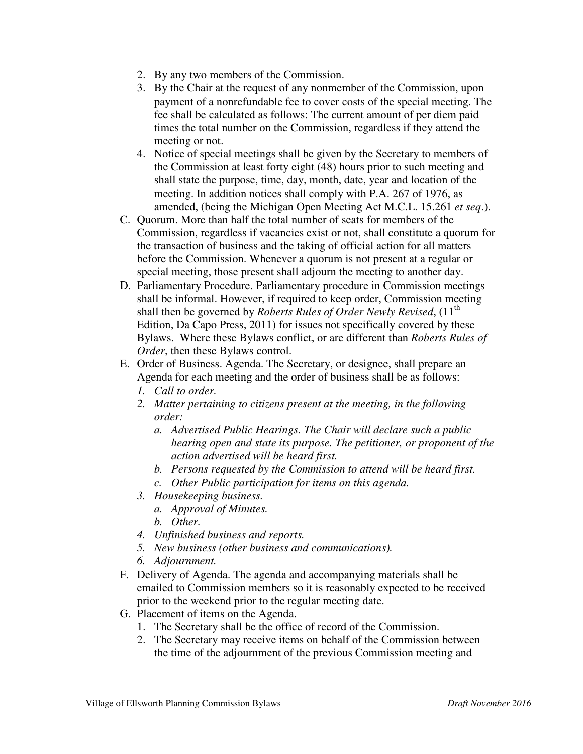- 2. By any two members of the Commission.
- 3. By the Chair at the request of any nonmember of the Commission, upon payment of a nonrefundable fee to cover costs of the special meeting. The fee shall be calculated as follows: The current amount of per diem paid times the total number on the Commission, regardless if they attend the meeting or not.
- 4. Notice of special meetings shall be given by the Secretary to members of the Commission at least forty eight (48) hours prior to such meeting and shall state the purpose, time, day, month, date, year and location of the meeting. In addition notices shall comply with P.A. 267 of 1976, as amended, (being the Michigan Open Meeting Act M.C.L. 15.261 *et seq*.).
- C. Quorum. More than half the total number of seats for members of the Commission, regardless if vacancies exist or not, shall constitute a quorum for the transaction of business and the taking of official action for all matters before the Commission. Whenever a quorum is not present at a regular or special meeting, those present shall adjourn the meeting to another day.
- D. Parliamentary Procedure. Parliamentary procedure in Commission meetings shall be informal. However, if required to keep order, Commission meeting shall then be governed by *Roberts Rules of Order Newly Revised*, (11<sup>th</sup>) Edition, Da Capo Press, 2011) for issues not specifically covered by these Bylaws. Where these Bylaws conflict, or are different than *Roberts Rules of Order*, then these Bylaws control.
- E. Order of Business. Agenda. The Secretary, or designee, shall prepare an Agenda for each meeting and the order of business shall be as follows:
	- *1. Call to order.*
	- *2. Matter pertaining to citizens present at the meeting, in the following order:* 
		- *a. Advertised Public Hearings. The Chair will declare such a public hearing open and state its purpose. The petitioner, or proponent of the action advertised will be heard first.*
		- *b. Persons requested by the Commission to attend will be heard first.*
		- *c. Other Public participation for items on this agenda.*
	- *3. Housekeeping business.* 
		- *a. Approval of Minutes.*
		- *b. Other.*
	- *4. Unfinished business and reports.*
	- *5. New business (other business and communications).*
	- *6. Adjournment.*
- F. Delivery of Agenda. The agenda and accompanying materials shall be emailed to Commission members so it is reasonably expected to be received prior to the weekend prior to the regular meeting date.
- G. Placement of items on the Agenda.
	- 1. The Secretary shall be the office of record of the Commission.
	- 2. The Secretary may receive items on behalf of the Commission between the time of the adjournment of the previous Commission meeting and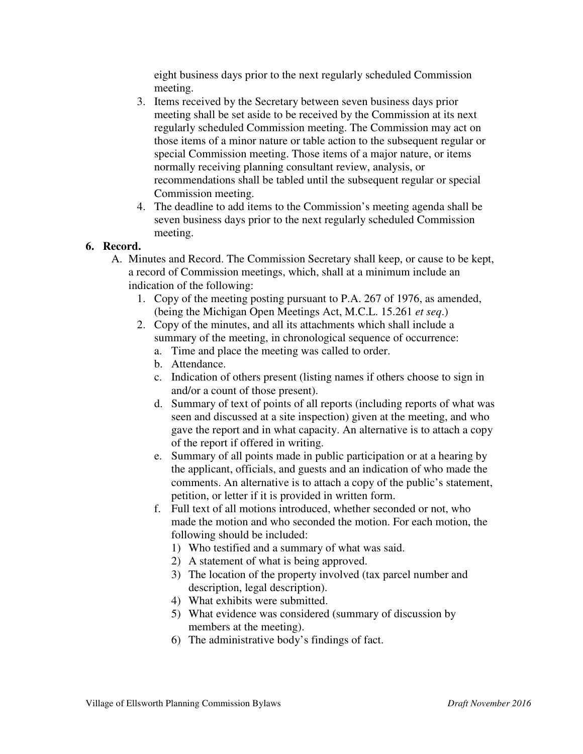eight business days prior to the next regularly scheduled Commission meeting.

- 3. Items received by the Secretary between seven business days prior meeting shall be set aside to be received by the Commission at its next regularly scheduled Commission meeting. The Commission may act on those items of a minor nature or table action to the subsequent regular or special Commission meeting. Those items of a major nature, or items normally receiving planning consultant review, analysis, or recommendations shall be tabled until the subsequent regular or special Commission meeting.
- 4. The deadline to add items to the Commission's meeting agenda shall be seven business days prior to the next regularly scheduled Commission meeting.

## **6. Record.**

- A. Minutes and Record. The Commission Secretary shall keep, or cause to be kept, a record of Commission meetings, which, shall at a minimum include an indication of the following:
	- 1. Copy of the meeting posting pursuant to P.A. 267 of 1976, as amended, (being the Michigan Open Meetings Act, M.C.L. 15.261 *et seq*.)
	- 2. Copy of the minutes, and all its attachments which shall include a summary of the meeting, in chronological sequence of occurrence:
		- a. Time and place the meeting was called to order.
		- b. Attendance.
		- c. Indication of others present (listing names if others choose to sign in and/or a count of those present).
		- d. Summary of text of points of all reports (including reports of what was seen and discussed at a site inspection) given at the meeting, and who gave the report and in what capacity. An alternative is to attach a copy of the report if offered in writing.
		- e. Summary of all points made in public participation or at a hearing by the applicant, officials, and guests and an indication of who made the comments. An alternative is to attach a copy of the public's statement, petition, or letter if it is provided in written form.
		- f. Full text of all motions introduced, whether seconded or not, who made the motion and who seconded the motion. For each motion, the following should be included:
			- 1) Who testified and a summary of what was said.
			- 2) A statement of what is being approved.
			- 3) The location of the property involved (tax parcel number and description, legal description).
			- 4) What exhibits were submitted.
			- 5) What evidence was considered (summary of discussion by members at the meeting).
			- 6) The administrative body's findings of fact.